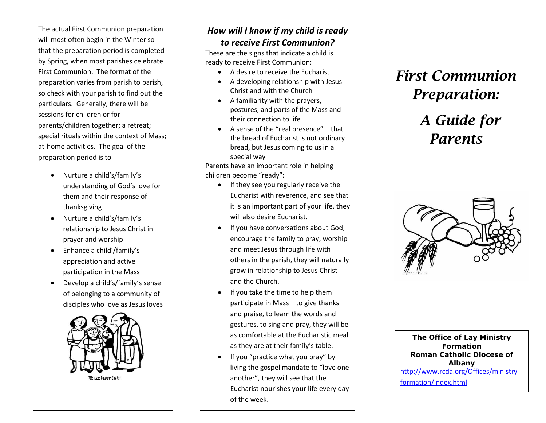The actual First Communion preparation will most often begin in the Winter so that the preparation period is completed by Spring, when most parishes celebrate First Communion. The format of the preparation varies from parish to parish, so check with your parish to find out the particulars. Generally, there will be sessions for children or for parents/children together; a retreat; special rituals within the context of Mass; at-home activities. The goal of the preparation period is to

- Nurture a child's/family's understanding of God's love for them and their response of thanksgiving
- Nurture a child's/family's relationship to Jesus Christ in prayer and worship
- Enhance a child'/family's appreciation and active participation in the Mass
- Develop a child's/family's sense of belonging to a community of disciples who love as Jesus loves



#### *How will I know if my child is ready to receive First Communion?*

These are the signs that indicate a child is ready to receive First Communion:

- A desire to receive the Eucharist
- A developing relationship with Jesus Christ and with the Church
- A familiarity with the prayers, postures, and parts of the Mass and their connection to life
- A sense of the "real presence"  $-$  that the bread of Eucharist is not ordinary bread, but Jesus coming to us in a special way

Parents have an important role in helping children become "ready":

- If they see you regularly receive the Eucharist with reverence, and see that it is an important part of your life, they will also desire Eucharist.
- If you have conversations about God, encourage the family to pray, worship and meet Jesus through life with others in the parish, they will naturally grow in relationship to Jesus Christ and the Church.
- If you take the time to help them participate in Mass – to give thanks and praise, to learn the words and gestures, to sing and pray, they will be as comfortable at the Eucharistic meal as they are at their family's table.
- If you "practice what you pray" by living the gospel mandate to "love one another", they will see that the Eucharist nourishes your life every day of the week.

## *First Communion Preparation:*

# *A Guide for Parents*



**The Office of Lay Ministry Formation Roman Catholic Diocese of Albany** [http://www.rcda.org/Offices/ministry\\_](http://www.rcda.org/Offices/ministry_formation/index.html) [formation/index.html](http://www.rcda.org/Offices/ministry_formation/index.html)